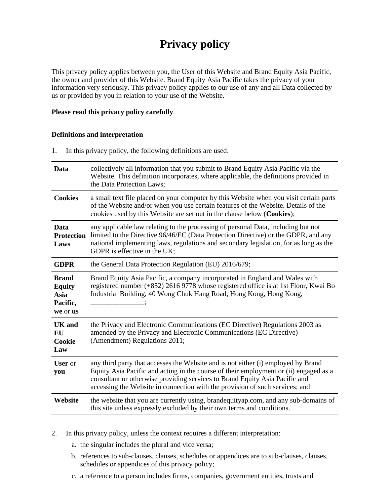# **Privacy policy**

This privacy policy applies between you, the User of this Website and Brand Equity Asia Pacific, the owner and provider of this Website. Brand Equity Asia Pacific takes the privacy of your information very seriously. This privacy policy applies to our use of any and all Data collected by us or provided by you in relation to your use of the Website.

## **Please read this privacy policy carefully**.

## **Definitions and interpretation**

1. In this privacy policy, the following definitions are used:

| Data                                                          | collectively all information that you submit to Brand Equity Asia Pacific via the<br>Website. This definition incorporates, where applicable, the definitions provided in<br>the Data Protection Laws;                                                                                                                                    |
|---------------------------------------------------------------|-------------------------------------------------------------------------------------------------------------------------------------------------------------------------------------------------------------------------------------------------------------------------------------------------------------------------------------------|
| <b>Cookies</b>                                                | a small text file placed on your computer by this Website when you visit certain parts<br>of the Website and/or when you use certain features of the Website. Details of the<br>cookies used by this Website are set out in the clause below (Cookies);                                                                                   |
| Data<br><b>Protection</b><br>Laws                             | any applicable law relating to the processing of personal Data, including but not<br>limited to the Directive 96/46/EC (Data Protection Directive) or the GDPR, and any<br>national implementing laws, regulations and secondary legislation, for as long as the<br>GDPR is effective in the UK;                                          |
| <b>GDPR</b>                                                   | the General Data Protection Regulation (EU) 2016/679;                                                                                                                                                                                                                                                                                     |
| <b>Brand</b><br><b>Equity</b><br>Asia<br>Pacific,<br>we or us | Brand Equity Asia Pacific, a company incorporated in England and Wales with<br>registered number (+852) 2616 9778 whose registered office is at 1st Floor, Kwai Bo<br>Industrial Building, 40 Wong Chuk Hang Road, Hong Kong, Hong Kong,                                                                                                  |
| UK and<br><b>EU</b><br>Cookie<br>Law                          | the Privacy and Electronic Communications (EC Directive) Regulations 2003 as<br>amended by the Privacy and Electronic Communications (EC Directive)<br>(Amendment) Regulations 2011;                                                                                                                                                      |
| <b>User</b> or<br>you                                         | any third party that accesses the Website and is not either (i) employed by Brand<br>Equity Asia Pacific and acting in the course of their employment or (ii) engaged as a<br>consultant or otherwise providing services to Brand Equity Asia Pacific and<br>accessing the Website in connection with the provision of such services; and |
| Website                                                       | the website that you are currently using, brandequityap.com, and any sub-domains of<br>this site unless expressly excluded by their own terms and conditions.                                                                                                                                                                             |

- 2. In this privacy policy, unless the context requires a different interpretation:
	- a. the singular includes the plural and vice versa;
	- b. references to sub-clauses, clauses, schedules or appendices are to sub-clauses, clauses, schedules or appendices of this privacy policy;
	- c. a reference to a person includes firms, companies, government entities, trusts and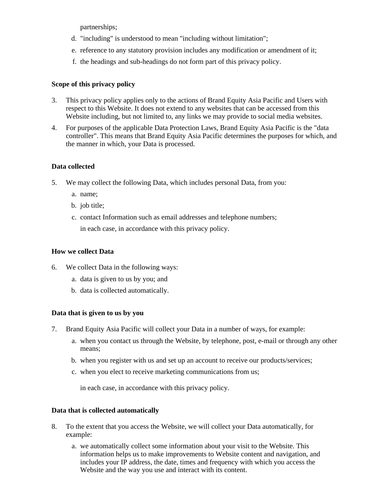partnerships;

- d. "including" is understood to mean "including without limitation";
- e. reference to any statutory provision includes any modification or amendment of it;
- f. the headings and sub-headings do not form part of this privacy policy.

# **Scope of this privacy policy**

- 3. This privacy policy applies only to the actions of Brand Equity Asia Pacific and Users with respect to this Website. It does not extend to any websites that can be accessed from this Website including, but not limited to, any links we may provide to social media websites.
- 4. For purposes of the applicable Data Protection Laws, Brand Equity Asia Pacific is the "data controller". This means that Brand Equity Asia Pacific determines the purposes for which, and the manner in which, your Data is processed.

# **Data collected**

- 5. We may collect the following Data, which includes personal Data, from you:
	- a. name;
	- b. job title;
	- c. contact Information such as email addresses and telephone numbers; in each case, in accordance with this privacy policy.

# **How we collect Data**

- 6. We collect Data in the following ways:
	- a. data is given to us by you; and
	- b. data is collected automatically.

# **Data that is given to us by you**

- 7. Brand Equity Asia Pacific will collect your Data in a number of ways, for example:
	- a. when you contact us through the Website, by telephone, post, e-mail or through any other means;
	- b. when you register with us and set up an account to receive our products/services;
	- c. when you elect to receive marketing communications from us;

in each case, in accordance with this privacy policy.

# **Data that is collected automatically**

- 8. To the extent that you access the Website, we will collect your Data automatically, for example:
	- a. we automatically collect some information about your visit to the Website. This information helps us to make improvements to Website content and navigation, and includes your IP address, the date, times and frequency with which you access the Website and the way you use and interact with its content.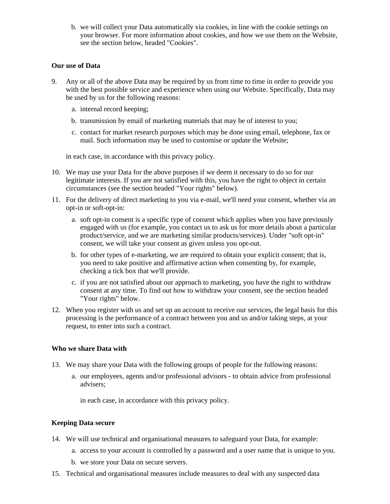b. we will collect your Data automatically via cookies, in line with the cookie settings on your browser. For more information about cookies, and how we use them on the Website, see the section below, headed "Cookies".

#### **Our use of Data**

- 9. Any or all of the above Data may be required by us from time to time in order to provide you with the best possible service and experience when using our Website. Specifically, Data may be used by us for the following reasons:
	- a. internal record keeping;
	- b. transmission by email of marketing materials that may be of interest to you;
	- c. contact for market research purposes which may be done using email, telephone, fax or mail. Such information may be used to customise or update the Website;

in each case, in accordance with this privacy policy.

- 10. We may use your Data for the above purposes if we deem it necessary to do so for our legitimate interests. If you are not satisfied with this, you have the right to object in certain circumstances (see the section headed "Your rights" below).
- 11. For the delivery of direct marketing to you via e-mail, we'll need your consent, whether via an opt-in or soft-opt-in:
	- a. soft opt-in consent is a specific type of consent which applies when you have previously engaged with us (for example, you contact us to ask us for more details about a particular product/service, and we are marketing similar products/services). Under "soft opt-in" consent, we will take your consent as given unless you opt-out.
	- b. for other types of e-marketing, we are required to obtain your explicit consent; that is, you need to take positive and affirmative action when consenting by, for example, checking a tick box that we'll provide.
	- c. if you are not satisfied about our approach to marketing, you have the right to withdraw consent at any time. To find out how to withdraw your consent, see the section headed "Your rights" below.
- 12. When you register with us and set up an account to receive our services, the legal basis for this processing is the performance of a contract between you and us and/or taking steps, at your request, to enter into such a contract.

## **Who we share Data with**

- 13. We may share your Data with the following groups of people for the following reasons:
	- a. our employees, agents and/or professional advisors to obtain advice from professional advisers;

in each case, in accordance with this privacy policy.

## **Keeping Data secure**

- 14. We will use technical and organisational measures to safeguard your Data, for example:
	- a. access to your account is controlled by a password and a user name that is unique to you.
	- b. we store your Data on secure servers.
- 15. Technical and organisational measures include measures to deal with any suspected data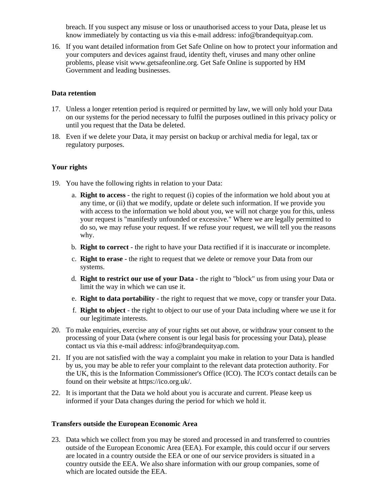breach. If you suspect any misuse or loss or unauthorised access to your Data, please let us know immediately by contacting us via this e-mail address: info@brandequityap.com.

16. If you want detailed information from Get Safe Online on how to protect your information and your computers and devices against fraud, identity theft, viruses and many other online problems, please visit www.getsafeonline.org. Get Safe Online is supported by HM Government and leading businesses.

## **Data retention**

- 17. Unless a longer retention period is required or permitted by law, we will only hold your Data on our systems for the period necessary to fulfil the purposes outlined in this privacy policy or until you request that the Data be deleted.
- 18. Even if we delete your Data, it may persist on backup or archival media for legal, tax or regulatory purposes.

## **Your rights**

- 19. You have the following rights in relation to your Data:
	- a. **Right to access** the right to request (i) copies of the information we hold about you at any time, or (ii) that we modify, update or delete such information. If we provide you with access to the information we hold about you, we will not charge you for this, unless your request is "manifestly unfounded or excessive." Where we are legally permitted to do so, we may refuse your request. If we refuse your request, we will tell you the reasons why.
	- b. **Right to correct** the right to have your Data rectified if it is inaccurate or incomplete.
	- c. **Right to erase** the right to request that we delete or remove your Data from our systems.
	- d. **Right to restrict our use of your Data** the right to "block" us from using your Data or limit the way in which we can use it.
	- e. **Right to data portability** the right to request that we move, copy or transfer your Data.
	- f. **Right to object** the right to object to our use of your Data including where we use it for our legitimate interests.
- 20. To make enquiries, exercise any of your rights set out above, or withdraw your consent to the processing of your Data (where consent is our legal basis for processing your Data), please contact us via this e-mail address: info@brandequityap.com.
- 21. If you are not satisfied with the way a complaint you make in relation to your Data is handled by us, you may be able to refer your complaint to the relevant data protection authority. For the UK, this is the Information Commissioner's Office (ICO). The ICO's contact details can be found on their website at https://ico.org.uk/.
- 22. It is important that the Data we hold about you is accurate and current. Please keep us informed if your Data changes during the period for which we hold it.

## **Transfers outside the European Economic Area**

23. Data which we collect from you may be stored and processed in and transferred to countries outside of the European Economic Area (EEA). For example, this could occur if our servers are located in a country outside the EEA or one of our service providers is situated in a country outside the EEA. We also share information with our group companies, some of which are located outside the EEA.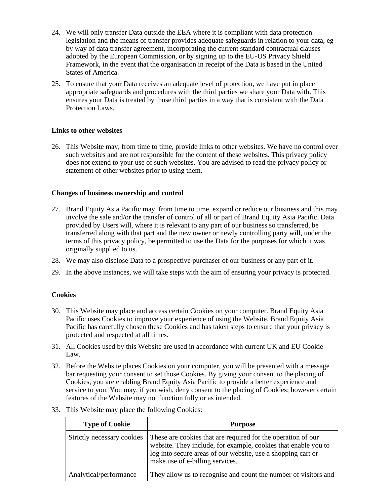- 24. We will only transfer Data outside the EEA where it is compliant with data protection legislation and the means of transfer provides adequate safeguards in relation to your data, eg by way of data transfer agreement, incorporating the current standard contractual clauses adopted by the European Commission, or by signing up to the EU-US Privacy Shield Framework, in the event that the organisation in receipt of the Data is based in the United States of America.
- 25. To ensure that your Data receives an adequate level of protection, we have put in place appropriate safeguards and procedures with the third parties we share your Data with. This ensures your Data is treated by those third parties in a way that is consistent with the Data Protection Laws.

## **Links to other websites**

26. This Website may, from time to time, provide links to other websites. We have no control over such websites and are not responsible for the content of these websites. This privacy policy does not extend to your use of such websites. You are advised to read the privacy policy or statement of other websites prior to using them.

## **Changes of business ownership and control**

- 27. Brand Equity Asia Pacific may, from time to time, expand or reduce our business and this may involve the sale and/or the transfer of control of all or part of Brand Equity Asia Pacific. Data provided by Users will, where it is relevant to any part of our business so transferred, be transferred along with that part and the new owner or newly controlling party will, under the terms of this privacy policy, be permitted to use the Data for the purposes for which it was originally supplied to us.
- 28. We may also disclose Data to a prospective purchaser of our business or any part of it.
- 29. In the above instances, we will take steps with the aim of ensuring your privacy is protected.

## **Cookies**

- 30. This Website may place and access certain Cookies on your computer. Brand Equity Asia Pacific uses Cookies to improve your experience of using the Website. Brand Equity Asia Pacific has carefully chosen these Cookies and has taken steps to ensure that your privacy is protected and respected at all times.
- 31. All Cookies used by this Website are used in accordance with current UK and EU Cookie Law.
- 32. Before the Website places Cookies on your computer, you will be presented with a message bar requesting your consent to set those Cookies. By giving your consent to the placing of Cookies, you are enabling Brand Equity Asia Pacific to provide a better experience and service to you. You may, if you wish, deny consent to the placing of Cookies; however certain features of the Website may not function fully or as intended.
- 33. This Website may place the following Cookies:

| <b>Type of Cookie</b>      | <b>Purpose</b>                                                                                                                                                                                                                    |
|----------------------------|-----------------------------------------------------------------------------------------------------------------------------------------------------------------------------------------------------------------------------------|
| Strictly necessary cookies | These are cookies that are required for the operation of our<br>website. They include, for example, cookies that enable you to<br>log into secure areas of our website, use a shopping cart or<br>make use of e-billing services. |
| Analytical/performance     | They allow us to recognise and count the number of visitors and                                                                                                                                                                   |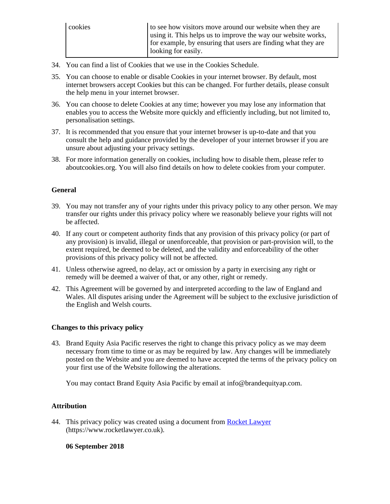| cookies | to see how visitors move around our website when they are<br>using it. This helps us to improve the way our website works, |
|---------|----------------------------------------------------------------------------------------------------------------------------|
|         | for example, by ensuring that users are finding what they are<br>looking for easily.                                       |

- 34. You can find a list of Cookies that we use in the Cookies Schedule.
- 35. You can choose to enable or disable Cookies in your internet browser. By default, most internet browsers accept Cookies but this can be changed. For further details, please consult the help menu in your internet browser.
- 36. You can choose to delete Cookies at any time; however you may lose any information that enables you to access the Website more quickly and efficiently including, but not limited to, personalisation settings.
- 37. It is recommended that you ensure that your internet browser is up-to-date and that you consult the help and guidance provided by the developer of your internet browser if you are unsure about adjusting your privacy settings.
- 38. For more information generally on cookies, including how to disable them, please refer to aboutcookies.org. You will also find details on how to delete cookies from your computer.

# **General**

- 39. You may not transfer any of your rights under this privacy policy to any other person. We may transfer our rights under this privacy policy where we reasonably believe your rights will not be affected.
- 40. If any court or competent authority finds that any provision of this privacy policy (or part of any provision) is invalid, illegal or unenforceable, that provision or part-provision will, to the extent required, be deemed to be deleted, and the validity and enforceability of the other provisions of this privacy policy will not be affected.
- 41. Unless otherwise agreed, no delay, act or omission by a party in exercising any right or remedy will be deemed a waiver of that, or any other, right or remedy.
- 42. This Agreement will be governed by and interpreted according to the law of England and Wales. All disputes arising under the Agreement will be subject to the exclusive jurisdiction of the English and Welsh courts.

# **Changes to this privacy policy**

43. Brand Equity Asia Pacific reserves the right to change this privacy policy as we may deem necessary from time to time or as may be required by law. Any changes will be immediately posted on the Website and you are deemed to have accepted the terms of the privacy policy on your first use of the Website following the alterations.

You may contact Brand Equity Asia Pacific by email at info@brandequityap.com.

# **Attribution**

44. This privacy policy was created using a document from [Rocket Lawyer](https://www.rocketlawyer.co.uk/) (https://www.rocketlawyer.co.uk).

**06 September 2018**